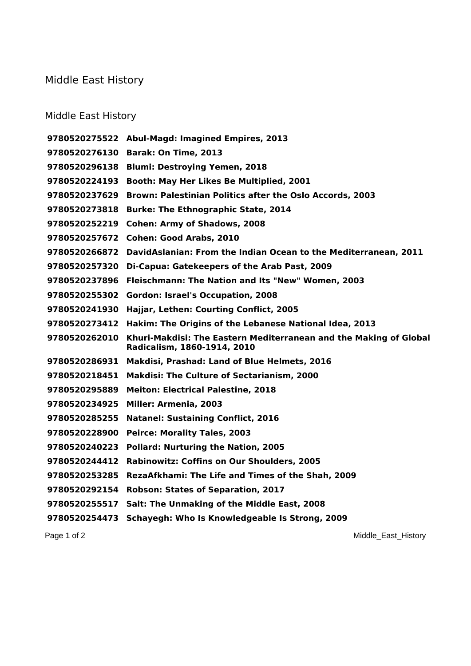## Middle East History

## Middle East History

|               | 9780520275522 Abul-Magd: Imagined Empires, 2013                                                  |
|---------------|--------------------------------------------------------------------------------------------------|
|               | 9780520276130 Barak: On Time, 2013                                                               |
| 9780520296138 | <b>Blumi: Destroying Yemen, 2018</b>                                                             |
| 9780520224193 | Booth: May Her Likes Be Multiplied, 2001                                                         |
| 9780520237629 | Brown: Palestinian Politics after the Oslo Accords, 2003                                         |
| 9780520273818 | <b>Burke: The Ethnographic State, 2014</b>                                                       |
|               | 9780520252219 Cohen: Army of Shadows, 2008                                                       |
|               | 9780520257672 Cohen: Good Arabs, 2010                                                            |
| 9780520266872 | DavidAslanian: From the Indian Ocean to the Mediterranean, 2011                                  |
| 9780520257320 | Di-Capua: Gatekeepers of the Arab Past, 2009                                                     |
| 9780520237896 | Fleischmann: The Nation and Its "New" Women, 2003                                                |
| 9780520255302 | <b>Gordon: Israel's Occupation, 2008</b>                                                         |
| 9780520241930 | Hajjar, Lethen: Courting Conflict, 2005                                                          |
| 9780520273412 | Hakim: The Origins of the Lebanese National Idea, 2013                                           |
| 9780520262010 | Khuri-Makdisi: The Eastern Mediterranean and the Making of Global<br>Radicalism, 1860-1914, 2010 |
|               | 9780520286931 Makdisi, Prashad: Land of Blue Helmets, 2016                                       |
| 9780520218451 | <b>Makdisi: The Culture of Sectarianism, 2000</b>                                                |
| 9780520295889 | <b>Meiton: Electrical Palestine, 2018</b>                                                        |
| 9780520234925 | <b>Miller: Armenia, 2003</b>                                                                     |
| 9780520285255 | <b>Natanel: Sustaining Conflict, 2016</b>                                                        |
| 9780520228900 | <b>Peirce: Morality Tales, 2003</b>                                                              |
| 9780520240223 | <b>Pollard: Nurturing the Nation, 2005</b>                                                       |
| 9780520244412 | <b>Rabinowitz: Coffins on Our Shoulders, 2005</b>                                                |
| 9780520253285 | <b>RezaAfkhami: The Life and Times of the Shah, 2009</b>                                         |
| 9780520292154 | <b>Robson: States of Separation, 2017</b>                                                        |
| 9780520255517 | Salt: The Unmaking of the Middle East, 2008                                                      |
| 9780520254473 | Schayegh: Who Is Knowledgeable Is Strong, 2009                                                   |

Page 1 of 2 Middle\_East\_History